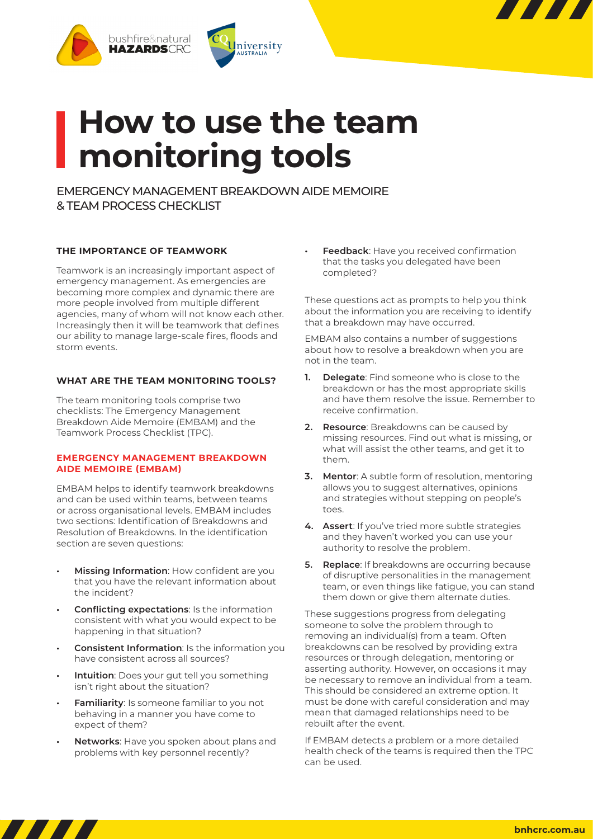

# **How to use the team monitoring tools**

EMERGENCY MANAGEMENT BREAKDOWN AIDE MEMOIRE & TEAM PROCESS CHECKLIST

## **THE IMPORTANCE OF TEAMWORK**

Teamwork is an increasingly important aspect of emergency management. As emergencies are becoming more complex and dynamic there are more people involved from multiple different agencies, many of whom will not know each other. Increasingly then it will be teamwork that defines our ability to manage large-scale fires, floods and storm events.

## **WHAT ARE THE TEAM MONITORING TOOLS?**

The team monitoring tools comprise two checklists: The Emergency Management Breakdown Aide Memoire (EMBAM) and the Teamwork Process Checklist (TPC).

#### **EMERGENCY MANAGEMENT BREAKDOWN AIDE MEMOIRE (EMBAM)**

EMBAM helps to identify teamwork breakdowns and can be used within teams, between teams or across organisational levels. EMBAM includes two sections: Identification of Breakdowns and Resolution of Breakdowns. In the identification section are seven questions:

- **• Missing Information**: How confident are you that you have the relevant information about the incident?
- **• Conflicting expectations**: Is the information consistent with what you would expect to be happening in that situation?
- **• Consistent Information**: Is the information you have consistent across all sources?
- **• Intuition**: Does your gut tell you something isn't right about the situation?
- **• Familiarity**: Is someone familiar to you not behaving in a manner you have come to expect of them?
- **• Networks**: Have you spoken about plans and problems with key personnel recently?

**• Feedback**: Have you received confirmation that the tasks you delegated have been completed?

These questions act as prompts to help you think about the information you are receiving to identify that a breakdown may have occurred.

EMBAM also contains a number of suggestions about how to resolve a breakdown when you are not in the team.

- **1. Delegate**: Find someone who is close to the breakdown or has the most appropriate skills and have them resolve the issue. Remember to receive confirmation.
- **2. Resource**: Breakdowns can be caused by missing resources. Find out what is missing, or what will assist the other teams, and get it to them.
- **3. Mentor**: A subtle form of resolution, mentoring allows you to suggest alternatives, opinions and strategies without stepping on people's toes.
- **4. Assert**: If you've tried more subtle strategies and they haven't worked you can use your authority to resolve the problem.
- **5. Replace**: If breakdowns are occurring because of disruptive personalities in the management team, or even things like fatigue, you can stand them down or give them alternate duties.

These suggestions progress from delegating someone to solve the problem through to removing an individual(s) from a team. Often breakdowns can be resolved by providing extra resources or through delegation, mentoring or asserting authority. However, on occasions it may be necessary to remove an individual from a team. This should be considered an extreme option. It must be done with careful consideration and may mean that damaged relationships need to be rebuilt after the event.

If EMBAM detects a problem or a more detailed health check of the teams is required then the TPC can be used.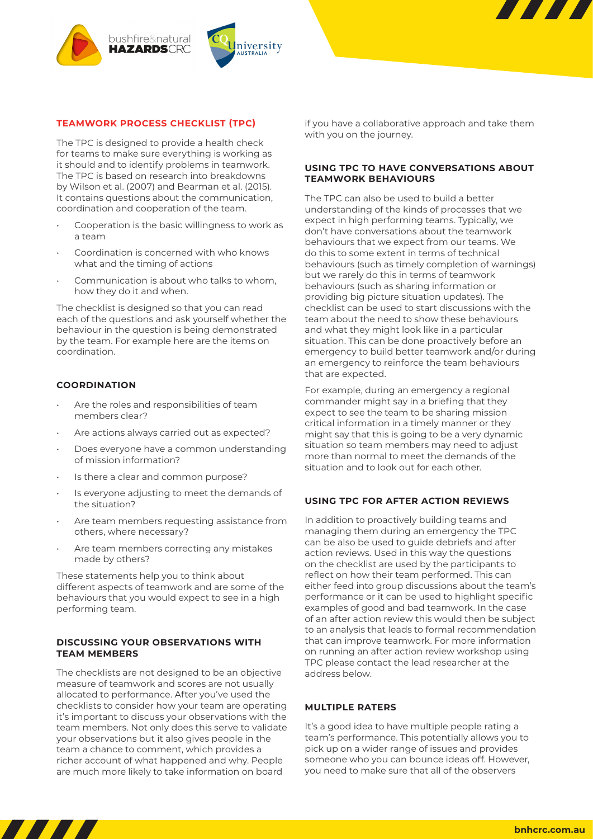

#### **TEAMWORK PROCESS CHECKLIST (TPC)**

The TPC is designed to provide a health check for teams to make sure everything is working as it should and to identify problems in teamwork. The TPC is based on research into breakdowns by Wilson et al. (2007) and Bearman et al. (2015). It contains questions about the communication, coordination and cooperation of the team.

- Cooperation is the basic willingness to work as a team
- Coordination is concerned with who knows what and the timing of actions
- Communication is about who talks to whom, how they do it and when.

The checklist is designed so that you can read each of the questions and ask yourself whether the behaviour in the question is being demonstrated by the team. For example here are the items on coordination.

#### **COORDINATION**

- Are the roles and responsibilities of team members clear?
- Are actions always carried out as expected?
- Does everyone have a common understanding of mission information?
- Is there a clear and common purpose?
- Is everyone adjusting to meet the demands of the situation?
- Are team members requesting assistance from others, where necessary?
- Are team members correcting any mistakes made by others?

These statements help you to think about different aspects of teamwork and are some of the behaviours that you would expect to see in a high performing team.

## **DISCUSSING YOUR OBSERVATIONS WITH TEAM MEMBERS**

The checklists are not designed to be an objective measure of teamwork and scores are not usually allocated to performance. After you've used the checklists to consider how your team are operating it's important to discuss your observations with the team members. Not only does this serve to validate your observations but it also gives people in the team a chance to comment, which provides a richer account of what happened and why. People are much more likely to take information on board

if you have a collaborative approach and take them with you on the journey.

### **USING TPC TO HAVE CONVERSATIONS ABOUT TEAMWORK BEHAVIOURS**

The TPC can also be used to build a better understanding of the kinds of processes that we expect in high performing teams. Typically, we don't have conversations about the teamwork behaviours that we expect from our teams. We do this to some extent in terms of technical behaviours (such as timely completion of warnings) but we rarely do this in terms of teamwork behaviours (such as sharing information or providing big picture situation updates). The checklist can be used to start discussions with the team about the need to show these behaviours and what they might look like in a particular situation. This can be done proactively before an emergency to build better teamwork and/or during an emergency to reinforce the team behaviours that are expected.

For example, during an emergency a regional commander might say in a briefing that they expect to see the team to be sharing mission critical information in a timely manner or they might say that this is going to be a very dynamic situation so team members may need to adjust more than normal to meet the demands of the situation and to look out for each other.

### **USING TPC FOR AFTER ACTION REVIEWS**

In addition to proactively building teams and managing them during an emergency the TPC can be also be used to guide debriefs and after action reviews. Used in this way the questions on the checklist are used by the participants to reflect on how their team performed. This can either feed into group discussions about the team's performance or it can be used to highlight specific examples of good and bad teamwork. In the case of an after action review this would then be subject to an analysis that leads to formal recommendation that can improve teamwork. For more information on running an after action review workshop using TPC please contact the lead researcher at the address below.

#### **MULTIPLE RATERS**

It's a good idea to have multiple people rating a team's performance. This potentially allows you to pick up on a wider range of issues and provides someone who you can bounce ideas off. However, you need to make sure that all of the observers